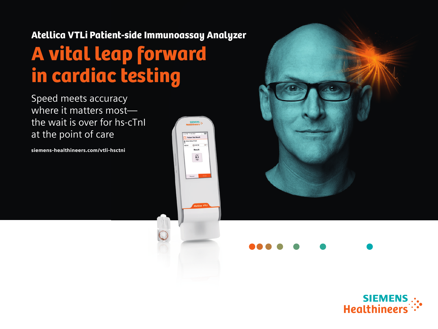# Atellica VTLi Patient-side Immunoassay Analyzer A vital leap forward in cardiac testing

 $\frac{c}{83}$ 

Speed meets accuracy where it matters mostthe wait is over for hs-cTnl at the point of care

siemens-healthineers.com/vtli-hsctni



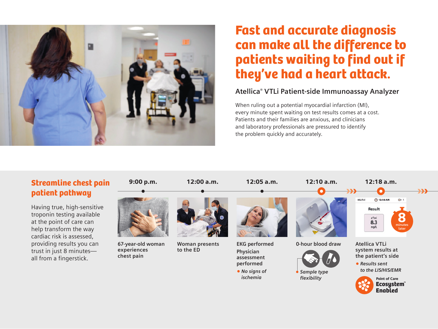

## Fast and accurate diagnosis can make all the difference to patients waiting to find out if they've had a heart attack.

#### **Atellica® VTLi Patient-side Immunoassay Analyzer**

Enabled

When ruling out a potential myocardial infarction (MI), every minute spent waiting on test results comes at a cost. Patients and their families are anxious, and clinicians and laboratory professionals are pressured to identify the problem quickly and accurately.

### Streamline chest pain patient pathway

Having true, high-sensitive troponin testing available at the point of care can help transform the way cardiac risk is assessed, providing results you can trust in just 8 minutes all from a fingerstick.

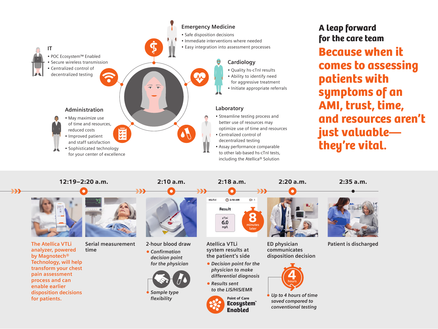

![](_page_2_Picture_2.jpeg)

**The Atellica VTLi analyzer, powered by Magnotech® Technology, will help transform your chest pain assessment process and can enable earlier disposition decisions for patients.**

![](_page_2_Picture_4.jpeg)

**Serial measurement time**

![](_page_2_Picture_6.jpeg)

**2-hour blood draw** *• Confirmation decision point* 

![](_page_2_Picture_8.jpeg)

*Sample type flexibility*

**Atellica VTLi system results at the patient's side**

 $\bigcirc$  2:18 AM

Result cTnl  $6.0$  $nq/L$ 

HScTnl

8

 $G = 1$ 

*• Decision point for the physician to make differential diagnosis* 

*• Results sent to the LIS/HIS/EMR*

Ecosystem™ Enabled

**minutes later**

> **ED physician communicates disposition decision**

![](_page_2_Picture_16.jpeg)

Point of Care *Up to 4 hours of time saved compared to conventional testing*

![](_page_2_Picture_19.jpeg)

**Patient is discharged**